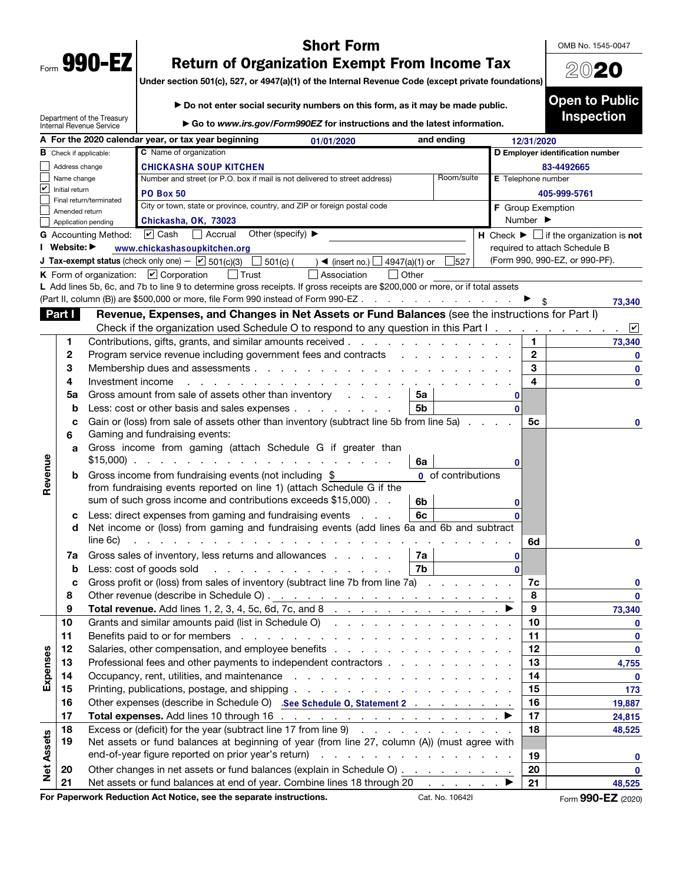| Form<br>T. | <b>490</b><br>U |
|------------|-----------------|
|            |                 |

Department of the Treasury

## Short Form

OMB No. 1545-0047

2020

Open to Public Inspection

## Return of Organization Exempt From Income Tax

Under section 501(c), 527, or 4947(a)(1) of the Internal Revenue Code (except private foundations)

| ▶ Do not enter social security numbers on this form, as it may be made public. |  |
|--------------------------------------------------------------------------------|--|
|                                                                                |  |

▶ Go to *www.irs.gov/Form990EZ* for instructions and the latest information. Internal Revenue Service  $\overline{A}$  For the 2020 calendar year, or tax year beginning  $\overline{O(1/2)}$  and ending and ending 01/01/2020 12/31/2020 C Name of organization **B** Check if applicable: D Employer identification number Address change CHICKASHA SOUP KITCHEN 83-4492665 Name change Number and street (or P.O. box if mail is not delivered to street address) Room/suite E Telephone number ✔ Initial return PO Box 50 405-999-5761 Final return/terminated City or town, state or province, country, and ZIP or foreign postal code **F** Group Exemption Amended return Chickasha, OK, 73023 Number ▶ Application pending G Accounting Method: Cash  $\Box$  Accrual Other (specify)  $\blacktriangleright$   $\Box$  H Check  $\blacktriangleright$   $\Box$  if the organization is not ☑ Cash Accrual I Website: ▶ required to attach Schedule B www.chickashasoupkitchen.org (Form 990, 990-EZ, or 990-PF). **J Tax-exempt status** (check only one)  $\boxed{V}$  501(c)(3)  $\boxed{ }$  501(c)(  $\boxed{ }$  **4** (insert no.)  $\boxed{ }$  4947(a)(1) or  $\boxed{ }$  527 K Form of organization:  $\Box$  Corporation  $\Box$  Trust  $\Box$  Association  $\Box$  Other L Add lines 5b, 6c, and 7b to line 9 to determine gross receipts. If gross receipts are \$200,000 or more, or if total assets (Part II, column (B)) are \$500,000 or more, file Form 990 instead of Form 990-EZ . . . . . . . . . . . . . . . .  $\blacktriangleright$  \$ 73,340 Part I Revenue, Expenses, and Changes in Net Assets or Fund Balances (see the instructions for Part I) Check if the organization used Schedule O to respond to any question in this Part I ✔ 1 Contributions, gifts, grants, and similar amounts received . . . . . . . . . . . . . . 1 73,340 2 Program service revenue including government fees and contracts . . . . . . . . . . . 2 03 Membership dues and assessments . . . . . . . . . . . . . . . . . . . . 3 0 4 Investment income . . . . . . . . . . . . . . . . . . . . . . . . . 4 0 **5a** Gross amount from sale of assets other than inventory  $\cdot$  .  $\cdot$   $\cdot$  5a 0 **b** Less: cost or other basis and sales expenses . . . . . . . . .  $\vert$  5b 0 c Gain or (loss) from sale of assets other than inventory (subtract line 5b from line 5a)  $\ldots$  .  $\vdots$ 0 6 Gaming and fundraising events: a Gross income from gaming (attach Schedule G if greater than Revenue Revenue \$15,000) . . . . . . . . . . . . . . . . . . . . 6a 0 **b** Gross income from fundraising events (not including  $$$ **0** of contributions from fundraising events reported on line 1) (attach Schedule G if the sum of such gross income and contributions exceeds \$15,000)  $\ldots$   $\mid$  6b 0 c Less: direct expenses from gaming and fundraising events  $\ldots$   $\vdots$ 0 d Net income or (loss) from gaming and fundraising events (add lines 6a and 6b and subtract line 6c) . . . . . . . . . . . . . . . . . . . . . . . . . . . . . 6d 0 **7a** Gross sales of inventory, less returns and allowances  $\ldots$   $\ldots$   $7a$  $\mathbf{0}$ **b** Less: cost of goods sold  $\therefore$  . . . . . . . . . . . . . . . 7b  $\overline{0}$ c Gross profit or (loss) from sales of inventory (subtract line 7b from line 7a)  $\ldots$  . . . . . . 7c 0 8 Other revenue (describe in Schedule O) . . . . . . . . . . . . . . . . . . . 8 0 9 Total revenue. Add lines 1, 2, 3, 4, 5c, 6d, 7c, and 8 . . . . . . . . . . . . . ▶ 9 73,340 10 Grants and similar amounts paid (list in Schedule O) . . . . . . . . . . . . . . . . 10 0 11 Benefits paid to or for members . . . . . . . . . . . . . . . . . . . . . 11 0 Expenses 12 Salaries, other compensation, and employee benefits . . . . . . . . . . . . . . . . 12 0 Expenses 13 Professional fees and other payments to independent contractors . . . . . . . . . . | 13 4,755 14 Occupancy, rent, utilities, and maintenance . . . . . . . . . . . . . . . . . . 14 0 15 Printing, publications, postage, and shipping . . . . . . . . . . . . . . . . . . 15 173 16 Other expenses (describe in Schedule O) .See Schedule 0, Statement 2 . . . . . . . . . | 16 19,887 17 Total expenses. Add lines 10 through 16  $\ldots$  . . . . . . . . . . . . . . . .  $\blacktriangleright$  | 17 24,815 18 Excess or (deficit) for the year (subtract line 17 from line  $9$  . . . . . . . . . . . . . 18 48,525 Net Assets **Net Assets** 19 Net assets or fund balances at beginning of year (from line 27, column (A)) (must agree with end-of-year figure reported on prior year's return)  $\cdots$  . . . . . . . . . . . . . . . . . . 19 0 20 Other changes in net assets or fund balances (explain in Schedule O)  $\ldots$  . . . . . . . 20 0 21 Net assets or fund balances at end of year. Combine lines 18 through 20  $\ldots$  .  $\blacktriangleright$  | 21 48,525

For Paperwork Reduction Act Notice, see the separate instructions. Cat. No. 10642I Form 990-EZ (2020)